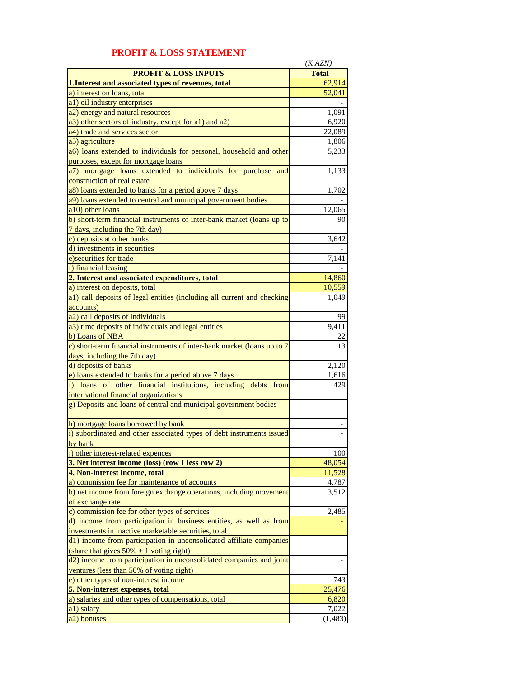|                                                                                                         | (KAZN)       |
|---------------------------------------------------------------------------------------------------------|--------------|
| <b>PROFIT &amp; LOSS INPUTS</b>                                                                         | <b>Total</b> |
| 1. Interest and associated types of revenues, total                                                     | 62,914       |
| a) interest on loans, total                                                                             | 52,041       |
| a1) oil industry enterprises                                                                            |              |
| a2) energy and natural resources                                                                        | 1,091        |
| a3) other sectors of industry, except for a1) and a2)                                                   | 6,920        |
| a4) trade and services sector                                                                           | 22,089       |
| a5) agriculture                                                                                         | 1,806        |
| a6) loans extended to individuals for personal, household and other                                     | 5,233        |
| purposes, except for mortgage loans                                                                     |              |
| a7) mortgage loans extended to individuals for purchase and                                             | 1,133        |
| construction of real estate                                                                             |              |
| a8) loans extended to banks for a period above 7 days                                                   | 1,702        |
| a9) loans extended to central and municipal government bodies                                           |              |
| a10) other loans                                                                                        | 12,065       |
| b) short-term financial instruments of inter-bank market (loans up to<br>7 days, including the 7th day) | 90           |
| c) deposits at other banks                                                                              | 3,642        |
| d) investments in securities                                                                            |              |
| e) securities for trade                                                                                 | 7,141        |
| f) financial leasing                                                                                    |              |
| 2. Interest and associated expenditures, total                                                          | 14,860       |
| a) interest on deposits, total                                                                          | 10,559       |
| a1) call deposits of legal entities (including all current and checking                                 | 1,049        |
| accounts)                                                                                               |              |
| a2) call deposits of individuals                                                                        |              |
|                                                                                                         | 99           |
| a3) time deposits of individuals and legal entities<br>b) Loans of NBA                                  | 9,411        |
| c) short-term financial instruments of inter-bank market (loans up to 7                                 | 22<br>13     |
| days, including the 7th day)                                                                            |              |
| d) deposits of banks                                                                                    | 2,120        |
| e) loans extended to banks for a period above 7 days                                                    | 1,616        |
| f) loans of other financial institutions, including debts from                                          | 429          |
| international financial organizations                                                                   |              |
| g) Deposits and loans of central and municipal government bodies                                        |              |
|                                                                                                         |              |
| h) mortgage loans borrowed by bank                                                                      |              |
| i) subordinated and other associated types of debt instruments issued                                   |              |
| hy hank                                                                                                 |              |
| j) other interest-related expences                                                                      | 100          |
| 3. Net interest income (loss) (row 1 less row 2)                                                        | 48,054       |
| 4. Non-interest income, total                                                                           | 11,528       |
| a) commission fee for maintenance of accounts                                                           | 4,787        |
| b) net income from foreign exchange operations, including movement<br>of exchange rate                  | 3,512        |
| c) commission fee for other types of services                                                           | 2,485        |
| d) income from participation in business entities, as well as from                                      |              |
| investments in inactive marketable securities, total                                                    |              |
| d1) income from participation in unconsolidated affiliate companies                                     |              |
| (share that gives $50\% + 1$ voting right)                                                              |              |
| d2) income from participation in unconsolidated companies and joint                                     |              |
| ventures (less than 50% of voting right)                                                                |              |
| e) other types of non-interest income                                                                   | 743          |
| 5. Non-interest expenses, total                                                                         | 25,476       |
| a) salaries and other types of compensations, total                                                     | 6,820        |
| a1) salary                                                                                              | 7,022        |
| a2) bonuses                                                                                             | (1, 483)     |

## **PROFIT & LOSS STATEMENT**